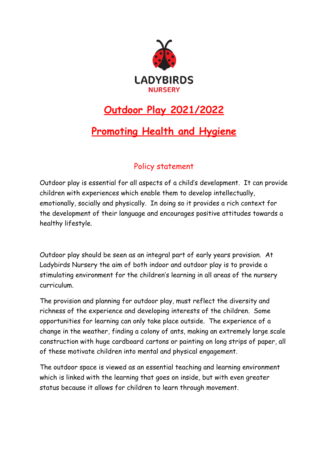

# **Outdoor Play 2021/2022**

# **Promoting Health and Hygiene**

# Policy statement

Outdoor play is essential for all aspects of a child's development. It can provide children with experiences which enable them to develop intellectually, emotionally, socially and physically. In doing so it provides a rich context for the development of their language and encourages positive attitudes towards a healthy lifestyle.

Outdoor play should be seen as an integral part of early years provision. At Ladybirds Nursery the aim of both indoor and outdoor play is to provide a stimulating environment for the children's learning in all areas of the nursery curriculum.

The provision and planning for outdoor play, must reflect the diversity and richness of the experience and developing interests of the children. Some opportunities for learning can only take place outside. The experience of a change in the weather, finding a colony of ants, making an extremely large scale construction with huge cardboard cartons or painting on long strips of paper, all of these motivate children into mental and physical engagement.

The outdoor space is viewed as an essential teaching and learning environment which is linked with the learning that goes on inside, but with even greater status because it allows for children to learn through movement.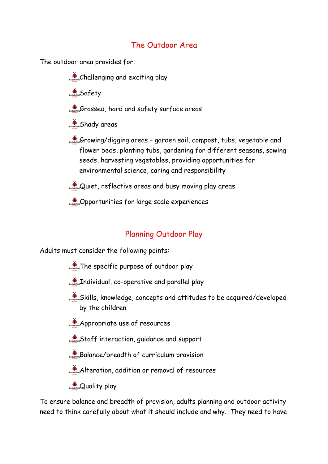### The Outdoor Area

The outdoor area provides for:

Challenging and exciting play

**ASSAfety** 

- Grassed, hard and safety surface areas
- **Shady areas**
- Growing/digging areas garden soil, compost, tubs, vegetable and flower beds, planting tubs, gardening for different seasons, sowing seeds, harvesting vegetables, providing opportunities for environmental science, caring and responsibility
- $\sum_{\omega}$  Quiet, reflective areas and busy moving play areas
- Opportunities for large scale experiences

# Planning Outdoor Play

Adults must consider the following points:

- The specific purpose of outdoor play
- Individual, co-operative and parallel play
- Skills, knowledge, concepts and attitudes to be acquired/developed by the children
- $\sum_{\text{Liplens}}$ Appropriate use of resources
- Staff interaction, guidance and support
- Balance/breadth of curriculum provision
- Alteration, addition or removal of resources
- **Quality play**

To ensure balance and breadth of provision, adults planning and outdoor activity need to think carefully about what it should include and why. They need to have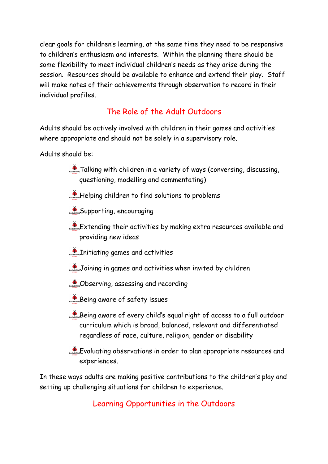clear goals for children's learning, at the same time they need to be responsive to children's enthusiasm and interests. Within the planning there should be some flexibility to meet individual children's needs as they arise during the session. Resources should be available to enhance and extend their play. Staff will make notes of their achievements through observation to record in their individual profiles.

# The Role of the Adult Outdoors

Adults should be actively involved with children in their games and activities where appropriate and should not be solely in a supervisory role.

Adults should be:

- **A** Talking with children in a variety of ways (conversing, discussing, questioning, modelling and commentating)
- **A**<sub>covenes</sub>Helping children to find solutions to problems
- **Supporting, encouraging**
- $\mathcal{L}_{\text{cross}}$  Extending their activities by making extra resources available and providing new ideas
- **Annual Initiating games and activities**
- Joining in games and activities when invited by children
- **Some Observing, assessing and recording**
- Being aware of safety issues
- Being aware of every child's equal right of access to a full outdoor curriculum which is broad, balanced, relevant and differentiated regardless of race, culture, religion, gender or disability
- Evaluating observations in order to plan appropriate resources and experiences.

In these ways adults are making positive contributions to the children's play and setting up challenging situations for children to experience.

Learning Opportunities in the Outdoors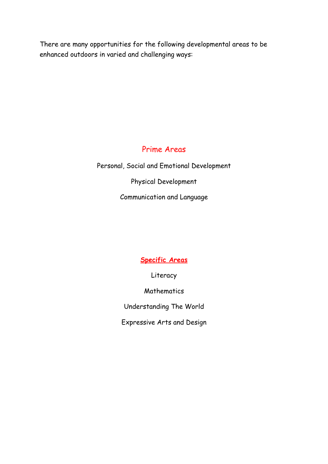There are many opportunities for the following developmental areas to be enhanced outdoors in varied and challenging ways:

### Prime Areas

Personal, Social and Emotional Development Physical Development Communication and Language

# **Specific Areas**

Literacy

**Mathematics** 

Understanding The World

Expressive Arts and Design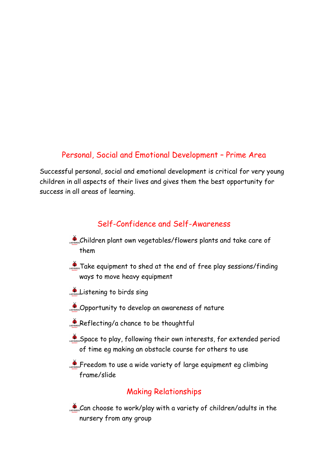#### Personal, Social and Emotional Development – Prime Area

Successful personal, social and emotional development is critical for very young children in all aspects of their lives and gives them the best opportunity for success in all areas of learning.

#### Self-Confidence and Self-Awareness

- Children plant own vegetables/flowers plants and take care of them
- Take equipment to shed at the end of free play sessions/finding ways to move heavy equipment
- $\sum_{\text{Lavensal}}$  Listening to birds sing
- Opportunity to develop an awareness of nature
- $\sum_{\text{coverses}}$ Reflecting/a chance to be thoughtful
- Space to play, following their own interests, for extended period of time eg making an obstacle course for others to use
- Freedom to use a wide variety of large equipment eg climbing frame/slide

# Making Relationships

Can choose to work/play with a variety of children/adults in the nursery from any group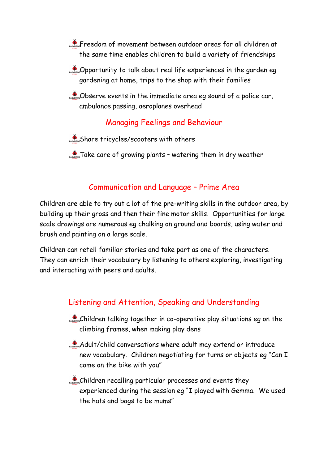**PROPERTY** Freedom of movement between outdoor areas for all children at the same time enables children to build a variety of friendships

 $\clubsuit$  Opportunity to talk about real life experiences in the garden eq gardening at home, trips to the shop with their families

CODSErve events in the immediate area eg sound of a police car, ambulance passing, aeroplanes overhead

# Managing Feelings and Behaviour

Share tricycles/scooters with others

**Take care of growing plants - watering them in dry weather** 

#### Communication and Language – Prime Area

Children are able to try out a lot of the pre-writing skills in the outdoor area, by building up their gross and then their fine motor skills. Opportunities for large scale drawings are numerous eg chalking on ground and boards, using water and brush and painting on a large scale.

Children can retell familiar stories and take part as one of the characters. They can enrich their vocabulary by listening to others exploring, investigating and interacting with peers and adults.

#### Listening and Attention, Speaking and Understanding

- Children talking together in co-operative play situations eg on the climbing frames, when making play dens
- Adult/child conversations where adult may extend or introduce new vocabulary. Children negotiating for turns or objects eg "Can I come on the bike with you"
- Children recalling particular processes and events they experienced during the session eg "I played with Gemma. We used the hats and bags to be mums"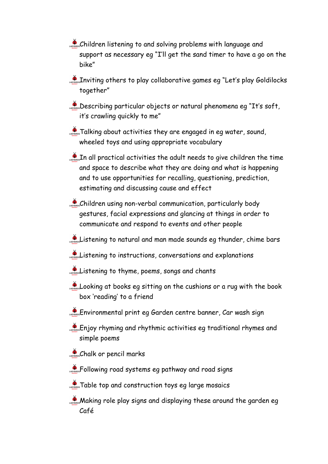- Children listening to and solving problems with language and support as necessary eg "I'll get the sand timer to have a go on the bike"
- Inviting others to play collaborative games eg "Let's play Goldilocks together"
- **Describing particular objects or natural phenomena eg "It's soft,** it's crawling quickly to me"
- $\sum_{n=1}^{\infty}$  Talking about activities they are engaged in eg water, sound, wheeled toys and using appropriate vocabulary
- $\mathcal{L}_{\text{nonres}}$  In all practical activities the adult needs to give children the time and space to describe what they are doing and what is happening and to use opportunities for recalling, questioning, prediction, estimating and discussing cause and effect
- Children using non-verbal communication, particularly body gestures, facial expressions and glancing at things in order to communicate and respond to events and other people
- Listening to natural and man made sounds eg thunder, chime bars
- Listening to instructions, conversations and explanations
- Listening to thyme, poems, songs and chants
- Looking at books eg sitting on the cushions or a rug with the book box 'reading' to a friend
- Environmental print eg Garden centre banner, Car wash sign
- Enjoy rhyming and rhythmic activities eg traditional rhymes and simple poems
- Chalk or pencil marks
- **AD** SPOI Following road systems eg pathway and road signs
- Table top and construction toys eg large mosaics
- **Making role play signs and displaying these around the garden eg** Café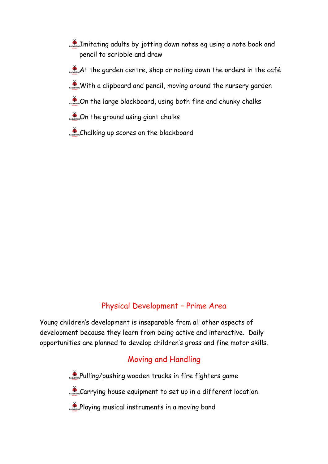- Imitating adults by jotting down notes eg using a note book and pencil to scribble and draw
- $\phi$ <sub>cavence</sub> At the garden centre, shop or noting down the orders in the café
- With a clipboard and pencil, moving around the nursery garden
- Con the large blackboard, using both fine and chunky chalks
- Con the ground using giant chalks
- Chalking up scores on the blackboard

# Physical Development – Prime Area

Young children's development is inseparable from all other aspects of development because they learn from being active and interactive. Daily opportunities are planned to develop children's gross and fine motor skills.

# Moving and Handling

**Pulling/pushing wooden trucks in fire fighters game** 

Carrying house equipment to set up in a different location

Playing musical instruments in a moving band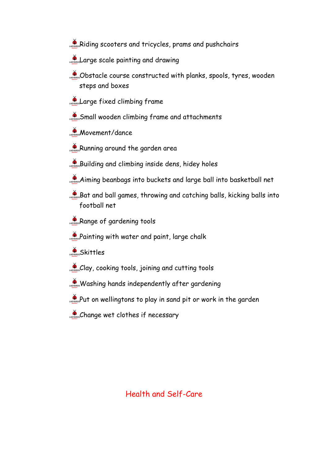- Riding scooters and tricycles, prams and pushchairs
- Large scale painting and drawing
- $\bullet$  Obstacle course constructed with planks, spools, tyres, wooden steps and boxes
- Large fixed climbing frame
- Small wooden climbing frame and attachments
- **Movement/dance**
- Running around the garden area
- Building and climbing inside dens, hidey holes
- Aiming beanbags into buckets and large ball into basketball net
- Bat and ball games, throwing and catching balls, kicking balls into football net
- Range of gardening tools
- **A Painting with water and paint, large chalk**
- **Skittles**
- $\sum_{\text{coverses}}$ Clay, cooking tools, joining and cutting tools
- Washing hands independently after gardening
- Put on wellingtons to play in sand pit or work in the garden
- Change wet clothes if necessary

#### Health and Self-Care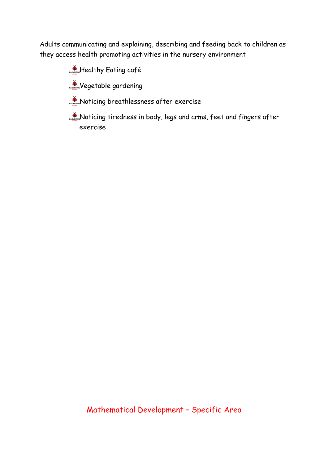Adults communicating and explaining, describing and feeding back to children as they access health promoting activities in the nursery environment

**A Healthy Eating café** 

Wegetable gardening

Noticing breathlessness after exercise

Noticing tiredness in body, legs and arms, feet and fingers after exercise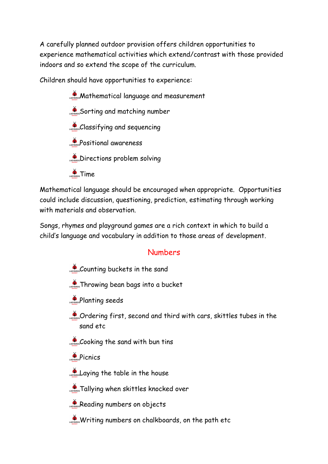A carefully planned outdoor provision offers children opportunities to experience mathematical activities which extend/contrast with those provided indoors and so extend the scope of the curriculum.

Children should have opportunities to experience:

**Mathematical language and measurement** Sorting and matching number Classifying and sequencing **Positional awareness Directions problem solving**  $\sum_{n=1}^{\infty}$  Time

Mathematical language should be encouraged when appropriate. Opportunities could include discussion, questioning, prediction, estimating through working with materials and observation.

Songs, rhymes and playground games are a rich context in which to build a child's language and vocabulary in addition to those areas of development.

#### Numbers

- Counting buckets in the sand
- **CADYGIRIOS Throwing bean bags into a bucket**
- **Planting seeds**
- Constructing first, second and third with cars, skittles tubes in the sand etc
- Cooking the sand with bun tins
- **A**<br>Picnics
- Laying the table in the house

**Tallying when skittles knocked over** 

- Reading numbers on objects
- Writing numbers on chalkboards, on the path etc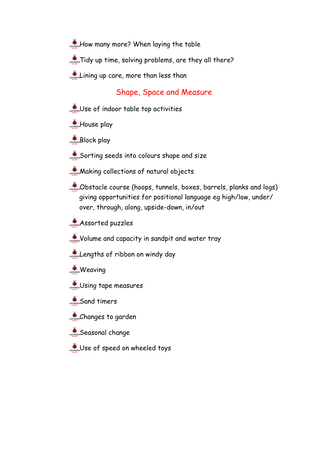- **A** How many more? When laying the table
- **Tidy up time, solving problems, are they all there?**
- Lining up care, more than less than

#### Shape, Space and Measure

- Use of indoor table top activities
- **House play**
- **Block play**
- Sorting seeds into colours shape and size
- **Making collections of natural objects**
- Obstacle course (hoops, tunnels, boxes, barrels, planks and logs) giving opportunities for positional language eg high/low, under/ over, through, along, upside-down, in/out
- **Assorted puzzles**
- Volume and capacity in sandpit and water tray
- Lengths of ribbon on windy day
- **Weaving**
- Using tape measures
- Sand timers
- Changes to garden
- **Seasonal change**
- Use of speed on wheeled toys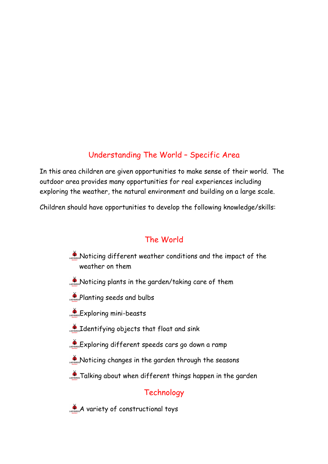# Understanding The World – Specific Area

In this area children are given opportunities to make sense of their world. The outdoor area provides many opportunities for real experiences including exploring the weather, the natural environment and building on a large scale.

Children should have opportunities to develop the following knowledge/skills:

# The World

- Noticing different weather conditions and the impact of the weather on them
- Noticing plants in the garden/taking care of them
- **Planting seeds and bulbs**
- **Exploring mini-beasts**
- **CONTERFERITE ISLANDIST CONTROLLED AND STARK**
- Exploring different speeds cars go down a ramp
- Noticing changes in the garden through the seasons
- **Talking about when different things happen in the garden**

# **Technology**

A variety of constructional toys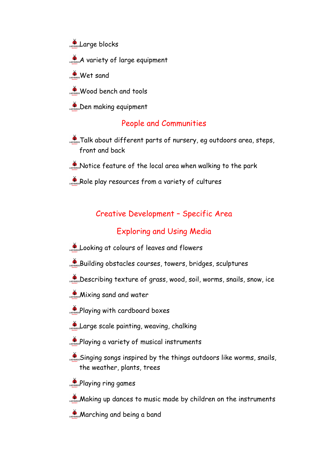- **Large blocks**
- A variety of large equipment
- **Wet sand**
- Wood bench and tools
- **Den making equipment**

#### People and Communities

- **ADOCT ADOCT different parts of nursery, eg outdoors area, steps,** front and back
- $\sum_{n=1}^{\infty}$ Notice feature of the local area when walking to the park
- Role play resources from a variety of cultures

#### Creative Development – Specific Area

#### Exploring and Using Media

- Looking at colours of leaves and flowers
- Building obstacles courses, towers, bridges, sculptures
- Describing texture of grass, wood, soil, worms, snails, snow, ice
- **Mixing sand and water**
- **Playing with cardboard boxes**
- Large scale painting, weaving, chalking
- **Playing a variety of musical instruments**
- Singing songs inspired by the things outdoors like worms, snails, the weather, plants, trees
- $\sum_{\text{coverses}}$ Playing ring games
- **Making up dances to music made by children on the instruments**
- **Marching and being a band**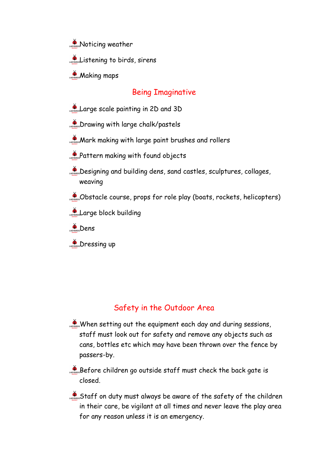**Noticing weather** 

Listening to birds, sirens

 $M$ aking maps

### Being Imaginative

- Large scale painting in 2D and 3D
- **Drawing with large chalk/pastels**
- **Mark making with large paint brushes and rollers**
- **Pattern making with found objects**
- Designing and building dens, sand castles, sculptures, collages, weaving
- Obstacle course, props for role play (boats, rockets, helicopters)
- Large block building
- $\sum_{\text{AOPBIBDS}}$ Dens
- **Dressing up**

# Safety in the Outdoor Area

- When setting out the equipment each day and during sessions, staff must look out for safety and remove any objects such as cans, bottles etc which may have been thrown over the fence by passers-by.
- Before children go outside staff must check the back gate is closed.
- Staff on duty must always be aware of the safety of the children in their care, be vigilant at all times and never leave the play area for any reason unless it is an emergency.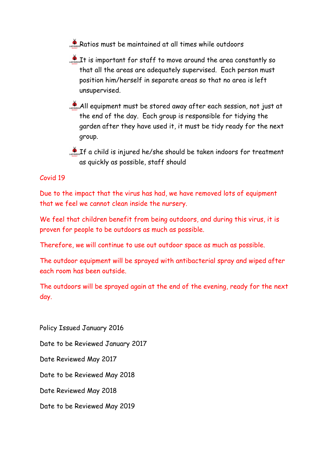Ratios must be maintained at all times while outdoors

 $\mathcal{L}_{\text{non-1}}$  is important for staff to move around the area constantly so that all the areas are adequately supervised. Each person must position him/herself in separate areas so that no area is left unsupervised.

All equipment must be stored away after each session, not just at the end of the day. Each group is responsible for tidying the garden after they have used it, it must be tidy ready for the next group.

LADREF a child is injured he/she should be taken indoors for treatment as quickly as possible, staff should

#### Covid 19

Due to the impact that the virus has had, we have removed lots of equipment that we feel we cannot clean inside the nursery.

We feel that children benefit from being outdoors, and during this virus, it is proven for people to be outdoors as much as possible.

Therefore, we will continue to use out outdoor space as much as possible.

The outdoor equipment will be sprayed with antibacterial spray and wiped after each room has been outside.

The outdoors will be sprayed again at the end of the evening, ready for the next day.

Policy Issued January 2016 Date to be Reviewed January 2017 Date Reviewed May 2017 Date to be Reviewed May 2018 Date Reviewed May 2018 Date to be Reviewed May 2019